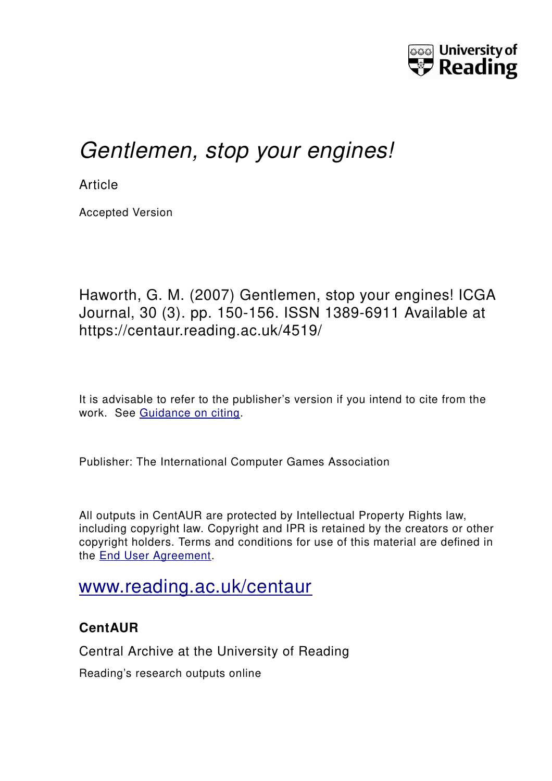

# *Gentlemen, stop your engines!*

**Article** 

Accepted Version

Haworth, G. M. (2007) Gentlemen, stop your engines! ICGA Journal, 30 (3). pp. 150-156. ISSN 1389-6911 Available at https://centaur.reading.ac.uk/4519/

It is advisable to refer to the publisher's version if you intend to cite from the work. See [Guidance on citing.](http://centaur.reading.ac.uk/71187/10/CentAUR%20citing%20guide.pdf)

Publisher: The International Computer Games Association

All outputs in CentAUR are protected by Intellectual Property Rights law, including copyright law. Copyright and IPR is retained by the creators or other copyright holders. Terms and conditions for use of this material are defined in the [End User Agreement.](http://centaur.reading.ac.uk/licence)

# [www.reading.ac.uk/centaur](http://www.reading.ac.uk/centaur)

# **CentAUR**

Central Archive at the University of Reading

Reading's research outputs online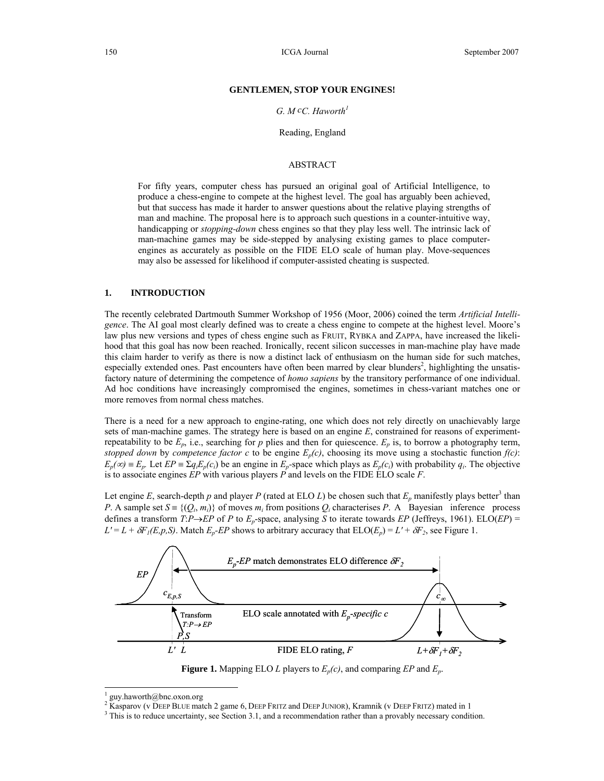#### **GENTLEMEN, STOP YOUR ENGINES!**

#### *G. M cC. Haworth1*

#### Reading, England

# ABSTRACT

For fifty years, computer chess has pursued an original goal of Artificial Intelligence, to produce a chess-engine to compete at the highest level. The goal has arguably been achieved, but that success has made it harder to answer questions about the relative playing strengths of man and machine. The proposal here is to approach such questions in a counter-intuitive way, handicapping or *stopping-down* chess engines so that they play less well. The intrinsic lack of man-machine games may be side-stepped by analysing existing games to place computerengines as accurately as possible on the FIDE ELO scale of human play. Move-sequences may also be assessed for likelihood if computer-assisted cheating is suspected.

# **1. INTRODUCTION**

The recently celebrated Dartmouth Summer Workshop of 1956 (Moor, 2006) coined the term *Artificial Intelligence*. The AI goal most clearly defined was to create a chess engine to compete at the highest level. Moore's law plus new versions and types of chess engine such as FRUIT, RYBKA and ZAPPA, have increased the likelihood that this goal has now been reached. Ironically, recent silicon successes in man-machine play have made this claim harder to verify as there is now a distinct lack of enthusiasm on the human side for such matches, especially extended ones. Past encounters have often been marred by clear blunders<sup>2</sup>, highlighting the unsatisfactory nature of determining the competence of *homo sapiens* by the transitory performance of one individual. Ad hoc conditions have increasingly compromised the engines, sometimes in chess-variant matches one or more removes from normal chess matches.

There is a need for a new approach to engine-rating, one which does not rely directly on unachievably large sets of man-machine games. The strategy here is based on an engine *E*, constrained for reasons of experimentrepeatability to be  $E_p$ , i.e., searching for p plies and then for quiescence.  $E_p$  is, to borrow a photography term, *stopped down* by *competence factor c* to be engine  $E_p(c)$ , choosing its move using a stochastic function  $f(c)$ :  $E_p(\infty) \equiv E_p$ . Let  $EP \equiv \sum q_i E_p(c_i)$  be an engine in  $E_p$ -space which plays as  $E_p(c_i)$  with probability  $q_i$ . The objective is to associate engines *EP* with various players *P* and levels on the FIDE ELO scale *F*.

Let engine *E*, search-depth *p* and player *P* (rated at ELO *L*) be chosen such that  $E_p$  manifestly plays better<sup>3</sup> than *P*. A sample set  $S = \{ (Q_i, m_i) \}$  of moves  $m_i$  from positions  $Q_i$  characterises *P*. A Bayesian inference process defines a transform  $T: P \rightarrow EP$  of *P* to  $E_p$ -space, analysing *S* to iterate towards *EP* (Jeffreys, 1961). ELO(*EP*) =  $L' = L + \delta F_I(E, p, S)$ . Match  $E_p$ -*EP* shows to arbitrary accuracy that  $ELO(E_p) = L' + \delta F_2$ , see Figure 1.



**Figure 1.** Mapping ELO *L* players to *Ep(c)*, and comparing *EP* and *Ep*.

1

<sup>1</sup> guy.haworth@bnc.oxon.org

<sup>&</sup>lt;sup>2</sup> Kasparov (v DEEP BLUE match 2 game 6, DEEP FRITZ and DEEP JUNIOR), Kramnik (v DEEP FRITZ) mated in 1  $^3$  This is to reduce uncertainty, see Section 3.1, and a recommendation rather than a proven uncertainty are Secti

 $3$  This is to reduce uncertainty, see Section 3.1, and a recommendation rather than a provably necessary condition.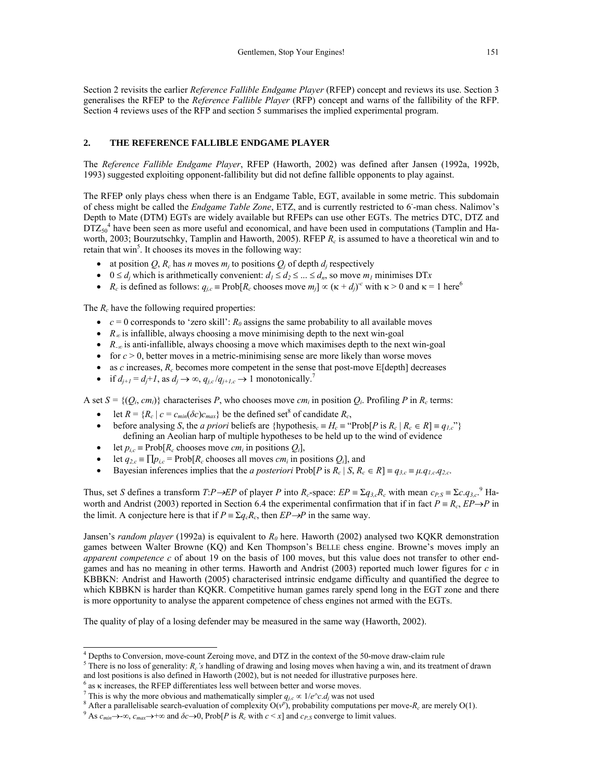Section 2 revisits the earlier *Reference Fallible Endgame Player* (RFEP) concept and reviews its use. Section 3 generalises the RFEP to the *Reference Fallible Player* (RFP) concept and warns of the fallibility of the RFP. Section 4 reviews uses of the RFP and section 5 summarises the implied experimental program.

#### **2. THE REFERENCE FALLIBLE ENDGAME PLAYER**

The *Reference Fallible Endgame Player*, RFEP (Haworth, 2002) was defined after Jansen (1992a, 1992b, 1993) suggested exploiting opponent-fallibility but did not define fallible opponents to play against.

The RFEP only plays chess when there is an Endgame Table, EGT, available in some metric. This subdomain of chess might be called the *Endgame Table Zone*, ETZ, and is currently restricted to 6- -man chess. Nalimov's Depth to Mate (DTM) EGTs are widely available but RFEPs can use other EGTs. The metrics DTC, DTZ and  $D\overline{TZ_{50}}^4$  have been seen as more useful and economical, and have been used in computations (Tamplin and Haworth, 2003; Bourzutschky, Tamplin and Haworth, 2005). RFEP *Rc* is assumed to have a theoretical win and to retain that win<sup>5</sup>. It chooses its moves in the following way:

- at position Q,  $R_c$  has *n* moves  $m_j$  to positions  $Q_j$  of depth  $d_j$  respectively
- $0 \le d_i$  which is arithmetically convenient:  $d_1 \le d_2 \le ... \le d_n$ , so move  $m_i$  minimises DTx
- *R<sub>c</sub>* is defined as follows:  $q_{j,c}$  = Prob[*R<sub>c</sub>* chooses move  $m_j$ ]  $\propto (\kappa + d_j)^{-c}$  with  $\kappa > 0$  and  $\kappa = 1$  here<sup>6</sup>

The  $R_c$  have the following required properties:

- $c = 0$  corresponds to 'zero skill':  $R_0$  assigns the same probability to all available moves
- *R*∞ is infallible, always choosing a move minimising depth to the next win-goal
- *R-*∞ is anti-infallible, always choosing a move which maximises depth to the next win-goal
- for  $c > 0$ , better moves in a metric-minimising sense are more likely than worse moves
- as *c* increases,  $R_c$  becomes more competent in the sense that post-move E[depth] decreases
- if  $d_{j+1} = d_j + 1$ , as  $d_j \rightarrow \infty$ ,  $q_{j,c}/q_{j+1,c} \rightarrow 1$  monotonically.<sup>7</sup>

A set  $S = \{ (Q_i, cm_i) \}$  characterises *P*, who chooses move  $cm_i$  in position  $Q_i$ . Profiling *P* in  $R_c$  terms:

- let  $R = {R_c | c = c_{min}(\delta c)c_{max}}$  be the defined set<sup>8</sup> of candidate  $R_c$ ,
- before analysing *S*, the *a priori* beliefs are {hypothesis<sub>*c*</sub> =  $H_c$  = "Prob[*P* is  $R_c | R_c \in R$ ] =  $q_{l,c}$ "} defining an Aeolian harp of multiple hypotheses to be held up to the wind of evidence
- let  $p_{i,c}$  = Prob[ $R_c$  chooses move  $cm_i$  in positions  $Q_i$ ],
- let  $q_{2,c} = \prod p_{i,c} = \text{Prob}[R_c \text{ chooses all moves } cm_i \text{ in positions } Q_i]$ , and
- Bayesian inferences implies that the *a posteriori*  $Prob[P$  is  $R_c | S, R_c \in R] = q_{3,c} = \mu.q_{1,c}.q_{2,c}$ .

Thus, set *S* defines a transform  $T: P \to EP$  of player *P* into  $R_c$ -space:  $EP \equiv \Sigma q_{3,c} R_c$  with mean  $c_{P,S} \equiv \Sigma c_{.} q_{3,c}$ .<sup>9</sup> Haworth and Andrist (2003) reported in Section 6.4 the experimental confirmation that if in fact  $P = R_c$ ,  $EP \rightarrow P$  in the limit. A conjecture here is that if  $P = \sum_{q \in R_c} P_{\text{c}}$ , then  $EP \rightarrow P$  in the same way.

Jansen's *random player* (1992a) is equivalent to  $R_0$  here. Haworth (2002) analysed two KOKR demonstration games between Walter Browne (KQ) and Ken Thompson's BELLE chess engine. Browne's moves imply an *apparent competence c* of about 19 on the basis of 100 moves, but this value does not transfer to other endgames and has no meaning in other terms. Haworth and Andrist (2003) reported much lower figures for *c* in KBBKN: Andrist and Haworth (2005) characterised intrinsic endgame difficulty and quantified the degree to which KBBKN is harder than KQKR. Competitive human games rarely spend long in the EGT zone and there is more opportunity to analyse the apparent competence of chess engines not armed with the EGTs.

The quality of play of a losing defender may be measured in the same way (Haworth, 2002).

 4 Depths to Conversion, move-count Zeroing move, and DTZ in the context of the 50-move draw-claim rule

<sup>&</sup>lt;sup>5</sup> There is no loss of generality:  $R_c$ 's handling of drawing and losing moves when having a win, and its treatment of drawn and lost positions is also defined in Haworth (2002), but is not needed for illustrative purposes here.

 $^6$  as k increases, the RFEP differentiates less well between better and worse moves.

<sup>&</sup>lt;sup>7</sup> This is why the more obvious and mathematically simpler  $q_{j,c} \propto 1/e^c c.d_j$  was not used

<sup>&</sup>lt;sup>8</sup> After a parallelisable search-evaluation of complexity  $O(v^p)$ , probability computations per move- $R_c$  are merely  $O(1)$ .

<sup>&</sup>lt;sup>9</sup> As  $c_{min} \rightarrow \infty$ ,  $c_{max} \rightarrow +\infty$  and  $\delta c \rightarrow 0$ , Prob[*P* is  $R_c$  with  $c < x$ ] and  $c_{P,S}$  converge to limit values.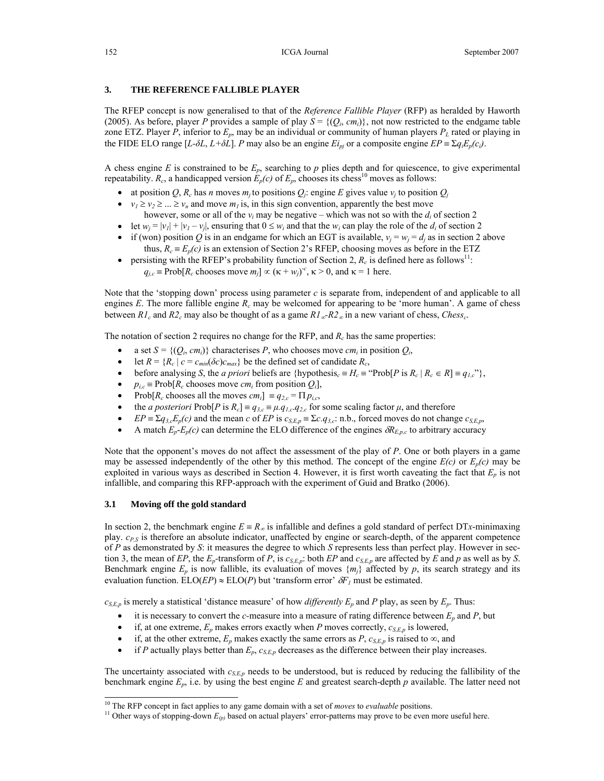#### **3. THE REFERENCE FALLIBLE PLAYER**

The RFEP concept is now generalised to that of the *Reference Fallible Player* (RFP) as heralded by Haworth (2005). As before, player *P* provides a sample of play  $S = \{ (Q_i, cm_i) \}$ , not now restricted to the endgame table zone ETZ. Player *P*, inferior to  $E_p$ , may be an individual or community of human players  $P_L$  rated or playing in the FIDE ELO range  $[L-\delta L, L+\delta L]$ . *P* may also be an engine  $E_{ipi}$  or a composite engine  $EP = \sum q_i E_p(c_i)$ .

A chess engine *E* is constrained to be *Ep*, searching to *p* plies depth and for quiescence, to give experimental repeatability.  $R_c$ , a handicapped version  $E_p(c)$  of  $E_p$ , chooses its chess<sup>10</sup> moves as follows:

- at position Q,  $R_c$  has *n* moves  $m_j$  to positions  $Q_j$ : engine *E* gives value  $v_j$  to position  $Q_j$
- $v_1 \ge v_2 \ge ... \ge v_n$  and move  $m_1$  is, in this sign convention, apparently the best move
- however, some or all of the  $v_i$  may be negative which was not so with the  $d_i$  of section 2
- let  $w_i = |v_1| + |v_1 v_i|$ , ensuring that  $0 \le w_i$  and that the  $w_i$  can play the role of the  $d_i$  of section 2
- if (won) position *Q* is in an endgame for which an EGT is available,  $v_j = w_j = d_j$  as in section 2 above thus,  $R_c \equiv E_p(c)$  is an extension of Section 2's RFEP, choosing moves as before in the ETZ
- persisting with the RFEP's probability function of Section 2,  $R_c$  is defined here as follows<sup>11</sup>:  $q_{j,c}$  = Prob[ $R_c$  chooses move  $m_j$ ]  $\propto (\kappa + w_j)^c$ ,  $\kappa > 0$ , and  $\kappa = 1$  here.

Note that the 'stopping down' process using parameter *c* is separate from, independent of and applicable to all engines *E*. The more fallible engine *Rc* may be welcomed for appearing to be 'more human'. A game of chess between  $R_l$  and  $R_2$  may also be thought of as a game  $R_l$ <sub>∞</sub>- $R_2$  in a new variant of chess, *Chess<sub>c</sub>*.

The notation of section 2 requires no change for the RFP, and  $R_c$  has the same properties:

- a set  $S = \{ (Q_i, cm_i) \}$  characterises *P*, who chooses move *cm<sub>i</sub>* in position  $Q_i$ ,
- let  $R = {R_c | c = c_{min}(\delta c)c_{max}}$  be the defined set of candidate  $R_c$ ,
- before analysing *S*, the *a priori* beliefs are  $\{\text{hypothesis}_c \equiv H_c \equiv \text{``Prob}[P \text{ is } R_c \mid R_c \in R] \equiv q_{1,c} \text{''}\},$
- $p_{i,c}$  ≡ Prob[ $R_c$  chooses move *cm<sub>i</sub>* from position  $Q_i$ ],
- $Prob[R_c \text{ chooses all the moves } cm_i] = q_{2,c} = \prod p_{i,c}$ ,
- the *a posteriori* Prob[*P* is  $R_c$ ] =  $q_{3,c}$  =  $\mu$ .*q*<sub>1,*c*</sub>.*q*<sub>2,*c*</sub> for some scaling factor  $\mu$ , and therefore
- $EP = \sum q_{3c} E_p(c)$  and the mean *c* of *EP* is  $c_{S, E, p} = \sum c_i q_{3c}$ : n.b., forced moves do not change  $c_{S, E, p}$ ,
- A match  $E_p-E_p(c)$  can determine the ELO difference of the engines  $\delta R_{E,p,c}$  to arbitrary accuracy

Note that the opponent's moves do not affect the assessment of the play of *P*. One or both players in a game may be assessed independently of the other by this method. The concept of the engine  $E(c)$  or  $E_p(c)$  may be exploited in various ways as described in Section 4. However, it is first worth caveating the fact that  $E_p$  is not infallible, and comparing this RFP-approach with the experiment of Guid and Bratko (2006).

# **3.1 Moving off the gold standard**

l

In section 2, the benchmark engine  $E = R_\infty$  is infallible and defines a gold standard of perfect DT*x*-minimaxing play.  $c_{P,S}$  is therefore an absolute indicator, unaffected by engine or search-depth, of the apparent competence of *P* as demonstrated by *S*: it measures the degree to which *S* represents less than perfect play. However in section 3, the mean of *EP*, the  $E_p$ -transform of *P*, is  $c_{S,E_p}$ : both *EP* and  $c_{S,E_p}$  are affected by *E* and *p* as well as by *S*. Benchmark engine  $E_p$  is now fallible, its evaluation of moves  $\{m_j\}$  affected by p, its search strategy and its evaluation function.  $ELO(EP) \approx ELO(P)$  but 'transform error'  $\delta F_I$  must be estimated.

 $c_{S,E,p}$  is merely a statistical 'distance measure' of how *differently*  $E_p$  and *P* play, as seen by  $E_p$ . Thus:

- it is necessary to convert the *c*-measure into a measure of rating difference between  $E_p$  and  $P$ , but
- if, at one extreme,  $E_p$  makes errors exactly when *P* moves correctly,  $c_{S,E,p}$  is lowered,
- if, at the other extreme,  $E_p$  makes exactly the same errors as *P*,  $c_{S,E,p}$  is raised to  $\infty$ , and
- if *P* actually plays better than  $E_p$ ,  $c_{S,E,p}$  decreases as the difference between their play increases.

The uncertainty associated with *cS,E,p* needs to be understood, but is reduced by reducing the fallibility of the benchmark engine *Ep*, i.e. by using the best engine *E* and greatest search-depth *p* available. The latter need not

<sup>&</sup>lt;sup>10</sup> The RFP concept in fact applies to any game domain with a set of *moves* to *evaluable* positions.<br><sup>11</sup> Other ways of stopping-down  $E_{(p)}$  based on actual players' error-patterns may prove to be even more useful her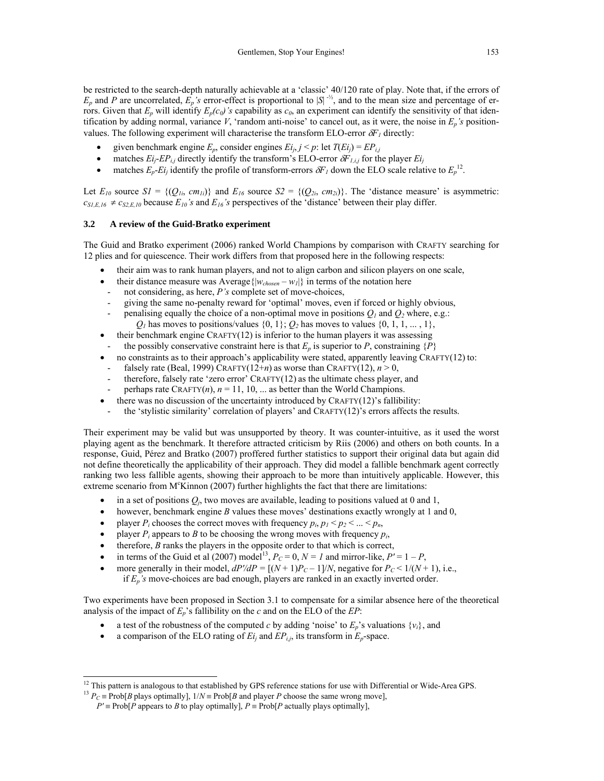be restricted to the search-depth naturally achievable at a 'classic' 40/120 rate of play. Note that, if the errors of  $E_p$  and *P* are uncorrelated,  $\overline{E_p}$ 's error-effect is proportional to  $|S|^{-1/2}$ , and to the mean size and percentage of errors. Given that  $E_p$  will identify  $E_p(c_0)$ 's capability as  $c_0$ , an experiment can identify the sensitivity of that identification by adding normal, variance V, 'random anti-noise' to cancel out, as it were, the noise in  $E_p$ 's positionvalues. The following experiment will characterise the transform ELO-error  $\delta F_t$  directly:

- given benchmark engine  $E_p$ , consider engines  $E_i$ ,  $j < p$ : let  $T(E_i) = E P_{i,j}$
- matches  $E_i$ - $EP_{i,j}$  directly identify the transform's ELO-error  $\delta F_{1,i,j}$  for the player  $E_i$
- matches  $E_p$ -*Ei<sub>j</sub>* identify the profile of transform-errors  $\delta F_l$  down the ELO scale relative to  $E_p$ <sup>12</sup>.

Let  $E_{10}$  source  $SI = \{ (Q_{1i}, cm_{1i}) \}$  and  $E_{16}$  source  $S2 = \{ (Q_{2i}, cm_{2i}) \}$ . The 'distance measure' is asymmetric:  $c_{SLE,16} \neq c_{S2,El}$  because  $E_{10}$ 's and  $E_{16}$ 's perspectives of the 'distance' between their play differ.

#### **3.2 A review of the Guid-Bratko experiment**

The Guid and Bratko experiment (2006) ranked World Champions by comparison with CRAFTY searching for 12 plies and for quiescence. Their work differs from that proposed here in the following respects:

- their aim was to rank human players, and not to align carbon and silicon players on one scale,
- their distance measure was Average  $\{|w_{chosen} w_l|\}$  in terms of the notation here
	- not considering, as here, *P*'s complete set of move-choices,
	- giving the same no-penalty reward for 'optimal' moves, even if forced or highly obvious,
- penalising equally the choice of a non-optimal move in positions  $Q_1$  and  $Q_2$  where, e.g.:  $Q_1$  has moves to positions/values  $\{0, 1\}$ ;  $Q_2$  has moves to values  $\{0, 1, 1, \ldots, 1\}$ ,
- their benchmark engine CRAFTY(12) is inferior to the human players it was assessing
- the possibly conservative constraint here is that  $E_p$  is superior to *P*, constraining  $\{P\}$
- no constraints as to their approach's applicability were stated, apparently leaving CRAFTY(12) to:
- falsely rate (Beal, 1999) CRAFTY(12+*n*) as worse than CRAFTY(12),  $n > 0$ ,
- therefore, falsely rate 'zero error' CRAFTY(12) as the ultimate chess player, and
- perhaps rate CRAFTY $(n)$ ,  $n = 11$ , 10, ... as better than the World Champions.
- there was no discussion of the uncertainty introduced by  $CRAFTY(12)$ 's fallibility:
- the 'stylistic similarity' correlation of players' and CRAFTY(12)'s errors affects the results.

Their experiment may be valid but was unsupported by theory. It was counter-intuitive, as it used the worst playing agent as the benchmark. It therefore attracted criticism by Riis (2006) and others on both counts. In a response, Guid, Pérez and Bratko (2007) proffered further statistics to support their original data but again did not define theoretically the applicability of their approach. They did model a fallible benchmark agent correctly ranking two less fallible agents, showing their approach to be more than intuitively applicable. However, this extreme scenario from  $M<sup>c</sup>$ Kinnon (2007) further highlights the fact that there are limitations:

- in a set of positions  $Q_i$ , two moves are available, leading to positions valued at 0 and 1,
- however, benchmark engine *B* values these moves' destinations exactly wrongly at 1 and 0,
- player  $P_i$  chooses the correct moves with frequency  $p_i$ ,  $p_1 < p_2 < ... < p_n$ ,
- player  $P_i$  appears to *B* to be choosing the wrong moves with frequency  $p_i$ ,
- therefore, *B* ranks the players in the opposite order to that which is correct,
- in terms of the Guid et al (2007) model<sup>13</sup>,  $P_C = 0$ ,  $N = I$  and mirror-like,  $P' = 1 P$ ,
- more generally in their model,  $dP'/dP = [(N+1)P_C 1]/N$ , negative for  $P_C < 1/(N+1)$ , i.e., if *Ep's* move-choices are bad enough, players are ranked in an exactly inverted order.

Two experiments have been proposed in Section 3.1 to compensate for a similar absence here of the theoretical analysis of the impact of *Ep*'s fallibility on the *c* and on the ELO of the *EP*:

- a test of the robustness of the computed *c* by adding 'noise' to  $E_p$ 's valuations  $\{v_i\}$ , and
- a comparison of the ELO rating of  $E_i$  and  $EP_{i,j}$ , its transform in  $E_p$ -space.

 $\overline{a}$ 

<sup>&</sup>lt;sup>12</sup> This pattern is analogous to that established by GPS reference stations for use with Differential or Wide-Area GPS.<br><sup>13</sup>  $P_C \equiv \text{Prob}[B \text{ plays optimally}]$ ,  $1/N \equiv \text{Prob}[B \text{ and player } P \text{ choose the same wrong move}]$ ,

 $P' \equiv \text{Prob}[P \text{ appears to } B \text{ to play optimally}], P \equiv \text{Prob}[P \text{ actually plays optimally}],$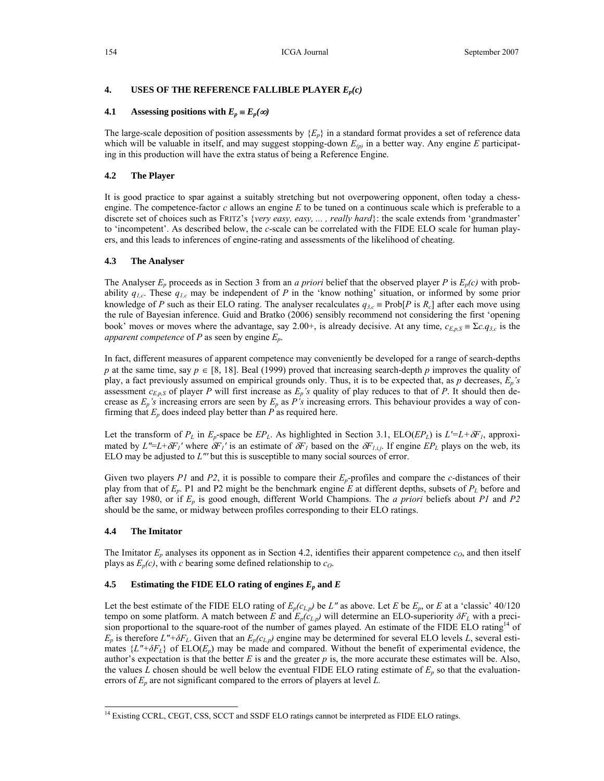# **4. USES OF THE REFERENCE FALLIBLE PLAYER** *Ep(c)*

### **4.1 Assessing positions with**  $E_p \equiv E_p(\infty)$

The large-scale deposition of position assessments by  ${E_n}$  in a standard format provides a set of reference data which will be valuable in itself, and may suggest stopping-down  $E_{(p)}$  in a better way. Any engine *E* participating in this production will have the extra status of being a Reference Engine.

# **4.2 The Player**

It is good practice to spar against a suitably stretching but not overpowering opponent, often today a chessengine. The competence-factor *c* allows an engine *E* to be tuned on a continuous scale which is preferable to a discrete set of choices such as FRITZ's {*very easy, easy, ... , really hard*}: the scale extends from 'grandmaster' to 'incompetent'. As described below, the *c*-scale can be correlated with the FIDE ELO scale for human players, and this leads to inferences of engine-rating and assessments of the likelihood of cheating.

#### **4.3 The Analyser**

The Analyser  $E_p$  proceeds as in Section 3 from an *a priori* belief that the observed player *P* is  $E_p(c)$  with probability *q1,c*. These *q1,c* may be independent of *P* in the 'know nothing' situation, or informed by some prior knowledge of *P* such as their ELO rating. The analyser recalculates  $q_{3,c}$  = Prob[*P* is  $R_c$ ] after each move using the rule of Bayesian inference. Guid and Bratko (2006) sensibly recommend not considering the first 'opening book' moves or moves where the advantage, say 2.00+, is already decisive. At any time,  $c_{E,p,S} \equiv \sum c_i q_{3,c}$  is the *apparent competence* of *P* as seen by engine *Ep*.

In fact, different measures of apparent competence may conveniently be developed for a range of search-depths *p* at the same time, say  $p \in [8, 18]$ . Beal (1999) proved that increasing search-depth *p* improves the quality of play, a fact previously assumed on empirical grounds only. Thus, it is to be expected that, as *p* decreases, *Ep's*  assessment  $c_{E,p,S}$  of player *P* will first increase as  $E_p$ 's quality of play reduces to that of *P*. It should then decrease as *Ep's* increasing errors are seen by *Ep* as *P's* increasing errors. This behaviour provides a way of confirming that *Ep* does indeed play better than *P* as required here.

Let the transform of  $P_L$  in  $E_p$ -space be  $EP_L$ . As highlighted in Section 3.1,  $ELO(EP_L)$  is  $L'=L+\delta F_I$ , approximated by  $L''=L+\delta F_1'$  where  $\delta F_1'$  is an estimate of  $\delta F_1$  based on the  $\delta F_{i,i}$ . If engine  $EP_L$  plays on the web, its ELO may be adjusted to *L"'* but this is susceptible to many social sources of error.

Given two players *P1* and *P2*, it is possible to compare their  $E_p$ -profiles and compare the *c*-distances of their play from that of *Ep*. P1 and P2 might be the benchmark engine *E* at different depths, subsets of *PL* before and after say 1980, or if *Ep* is good enough, different World Champions. The *a priori* beliefs about *P1* and *P2* should be the same, or midway between profiles corresponding to their ELO ratings.

#### **4.4 The Imitator**

l

The Imitator  $E_p$  analyses its opponent as in Section 4.2, identifies their apparent competence  $c_o$ , and then itself plays as  $E_p(c)$ , with *c* bearing some defined relationship to  $c_o$ .

# **4.5** Estimating the FIDE ELO rating of engines  $E_p$  and  $E$

Let the best estimate of the FIDE ELO rating of  $E_p(c_{L,p})$  be *L*" as above. Let *E* be  $E_p$ , or *E* at a 'classic' 40/120 tempo on some platform. A match between *E* and  $E_p(c_{L,p})$  will determine an ELO-superiority  $\delta F_L$  with a precision proportional to the square-root of the number of games played. An estimate of the FIDE ELO rating<sup>14</sup> of  $E_p$  is therefore  $L'' + \delta F_L$ . Given that an  $E_p(c_{L,p})$  engine may be determined for several ELO levels *L*, several estimates  $\{L''+\delta F_L\}$  of  $ELO(E_p)$  may be made and compared. Without the benefit of experimental evidence, the author's expectation is that the better  $E$  is and the greater  $p$  is, the more accurate these estimates will be. Also, the values *L* chosen should be well below the eventual FIDE ELO rating estimate of  $E_p$  so that the evaluationerrors of *Ep* are not significant compared to the errors of players at level *L.*

<sup>&</sup>lt;sup>14</sup> Existing CCRL, CEGT, CSS, SCCT and SSDF ELO ratings cannot be interpreted as FIDE ELO ratings.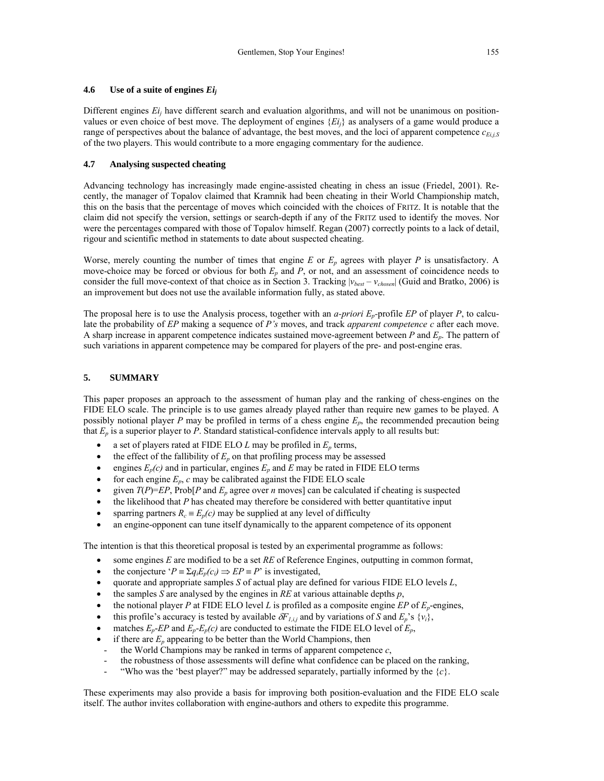# **4.6 Use of a suite of engines** *Eij*

Different engines  $E_i$  have different search and evaluation algorithms, and will not be unanimous on positionvalues or even choice of best move. The deployment of engines {*Eij*} as analysers of a game would produce a range of perspectives about the balance of advantage, the best moves, and the loci of apparent competence  $c_{E i,i,S}$ of the two players. This would contribute to a more engaging commentary for the audience.

# **4.7 Analysing suspected cheating**

Advancing technology has increasingly made engine-assisted cheating in chess an issue (Friedel, 2001). Recently, the manager of Topalov claimed that Kramnik had been cheating in their World Championship match, this on the basis that the percentage of moves which coincided with the choices of FRITZ. It is notable that the claim did not specify the version, settings or search-depth if any of the FRITZ used to identify the moves. Nor were the percentages compared with those of Topalov himself. Regan (2007) correctly points to a lack of detail, rigour and scientific method in statements to date about suspected cheating.

Worse, merely counting the number of times that engine *E* or *Ep* agrees with player *P* is unsatisfactory. A move-choice may be forced or obvious for both *Ep* and *P*, or not, and an assessment of coincidence needs to consider the full move-context of that choice as in Section 3. Tracking |*vbest* – *vchosen*| (Guid and Bratko, 2006) is an improvement but does not use the available information fully, as stated above.

The proposal here is to use the Analysis process, together with an *a-priori*  $E_p$ -profile *EP* of player *P*, to calculate the probability of *EP* making a sequence of *P's* moves, and track *apparent competence c* after each move. A sharp increase in apparent competence indicates sustained move-agreement between *P* and *Ep*. The pattern of such variations in apparent competence may be compared for players of the pre- and post-engine eras.

# **5. SUMMARY**

This paper proposes an approach to the assessment of human play and the ranking of chess-engines on the FIDE ELO scale. The principle is to use games already played rather than require new games to be played. A possibly notional player *P* may be profiled in terms of a chess engine *Ep*, the recommended precaution being that  $E_p$  is a superior player to  $P$ . Standard statistical-confidence intervals apply to all results but:

- a set of players rated at FIDE ELO  $L$  may be profiled in  $E_p$  terms,
- the effect of the fallibility of  $E_p$  on that profiling process may be assessed
- engines  $E_p(c)$  and in particular, engines  $E_p$  and  $E$  may be rated in FIDE ELO terms
- for each engine  $E_p$ ,  $c$  may be calibrated against the FIDE ELO scale
- given  $T(P)=E P$ , Prob $[ P \text{ and } E_p \text{ agree over } n \text{ moves } ]$  can be calculated if cheating is suspected
- the likelihood that *P* has cheated may therefore be considered with better quantitative input
- sparring partners  $R_c \equiv E_p(c)$  may be supplied at any level of difficulty
- an engine-opponent can tune itself dynamically to the apparent competence of its opponent

The intention is that this theoretical proposal is tested by an experimental programme as follows:

- some engines *E* are modified to be a set *RE* of Reference Engines, outputting in common format,
- the conjecture ' $P = \sum q_i E_p(c_i) \implies EP = P$ ' is investigated,
- quorate and appropriate samples *S* of actual play are defined for various FIDE ELO levels *L*,
- the samples *S* are analysed by the engines in *RE* at various attainable depths *p*,
- the notional player *P* at FIDE ELO level *L* is profiled as a composite engine *EP* of *Ep*-engines,
- this profile's accuracy is tested by available  $\delta F_{1,i,j}$  and by variations of *S* and  $E_p$ 's {*v<sub>i</sub>*},
- matches  $E_p$ -*EP* and  $E_p$ - $E_p(c)$  are conducted to estimate the FIDE ELO level of  $E_p$ ,
- if there are  $E_p$  appearing to be better than the World Champions, then
- the World Champions may be ranked in terms of apparent competence  $c$ ,
- the robustness of those assessments will define what confidence can be placed on the ranking,
- "Who was the 'best player?" may be addressed separately, partially informed by the  ${c}$ .

These experiments may also provide a basis for improving both position-evaluation and the FIDE ELO scale itself. The author invites collaboration with engine-authors and others to expedite this programme.